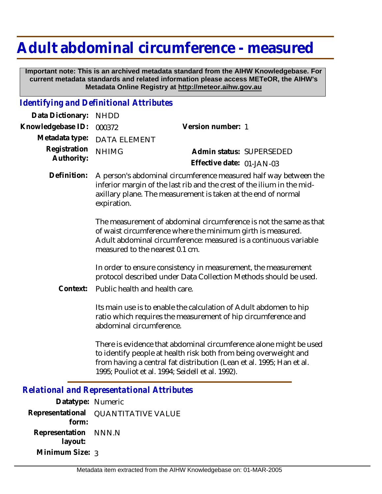# **Adult abdominal circumference - measured**

 **Important note: This is an archived metadata standard from the AIHW Knowledgebase. For current metadata standards and related information please access METeOR, the AIHW's Metadata Online Registry at http://meteor.aihw.gov.au**

#### *Identifying and Definitional Attributes*

| Data Dictionary:           | <b>NHDD</b>                                                                                                                                                                                                                              |                                                                                                                                    |
|----------------------------|------------------------------------------------------------------------------------------------------------------------------------------------------------------------------------------------------------------------------------------|------------------------------------------------------------------------------------------------------------------------------------|
| Knowledgebase ID:          | 000372                                                                                                                                                                                                                                   | Version number: 1                                                                                                                  |
| Metadata type:             | <b>DATA ELEMENT</b>                                                                                                                                                                                                                      |                                                                                                                                    |
| Registration<br>Authority: | <b>NHIMG</b>                                                                                                                                                                                                                             | Admin status: SUPERSEDED                                                                                                           |
|                            |                                                                                                                                                                                                                                          | Effective date: 01-JAN-03                                                                                                          |
| Definition:                | A person's abdominal circumference measured half way between the<br>inferior margin of the last rib and the crest of the ilium in the mid-<br>axillary plane. The measurement is taken at the end of normal<br>expiration.               |                                                                                                                                    |
|                            | The measurement of abdominal circumference is not the same as that<br>of waist circumference where the minimum girth is measured.<br>Adult abdominal circumference: measured is a continuous variable<br>measured to the nearest 0.1 cm. |                                                                                                                                    |
|                            | In order to ensure consistency in measurement, the measurement<br>protocol described under Data Collection Methods should be used.                                                                                                       |                                                                                                                                    |
| Context:                   | Public health and health care.                                                                                                                                                                                                           |                                                                                                                                    |
|                            | abdominal circumference.                                                                                                                                                                                                                 | Its main use is to enable the calculation of Adult abdomen to hip<br>ratio which requires the measurement of hip circumference and |

There is evidence that abdominal circumference alone might be used to identify people at health risk both from being overweight and from having a central fat distribution (Lean et al. 1995; Han et al. 1995; Pouliot et al. 1994; Seidell et al. 1992).

# *Relational and Representational Attributes*

**Datatype:** Numeric **Representational** QUANTITATIVE VALUE  **form: Representation** NNN.N  **layout: Minimum Size:** 3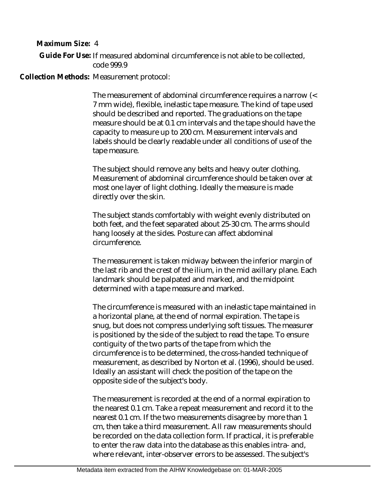**Maximum Size:** 4

Guide For Use: If measured abdominal circumference is not able to be collected, code 999.9

Collection Methods: Measurement protocol:

The measurement of abdominal circumference requires a narrow (< 7 mm wide), flexible, inelastic tape measure. The kind of tape used should be described and reported. The graduations on the tape measure should be at 0.1 cm intervals and the tape should have the capacity to measure up to 200 cm. Measurement intervals and labels should be clearly readable under all conditions of use of the tape measure.

The subject should remove any belts and heavy outer clothing. Measurement of abdominal circumference should be taken over at most one layer of light clothing. Ideally the measure is made directly over the skin.

The subject stands comfortably with weight evenly distributed on both feet, and the feet separated about 25-30 cm. The arms should hang loosely at the sides. Posture can affect abdominal circumference.

The measurement is taken midway between the inferior margin of the last rib and the crest of the ilium, in the mid axillary plane. Each landmark should be palpated and marked, and the midpoint determined with a tape measure and marked.

The circumference is measured with an inelastic tape maintained in a horizontal plane, at the end of normal expiration. The tape is snug, but does not compress underlying soft tissues. The measurer is positioned by the side of the subject to read the tape. To ensure contiguity of the two parts of the tape from which the circumference is to be determined, the cross-handed technique of measurement, as described by Norton et al. (1996), should be used. Ideally an assistant will check the position of the tape on the opposite side of the subject's body.

The measurement is recorded at the end of a normal expiration to the nearest 0.1 cm. Take a repeat measurement and record it to the nearest 0.1 cm. If the two measurements disagree by more than 1 cm, then take a third measurement. All raw measurements should be recorded on the data collection form. If practical, it is preferable to enter the raw data into the database as this enables intra- and, where relevant, inter-observer errors to be assessed. The subject's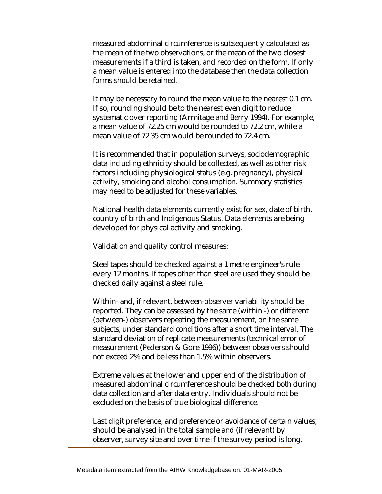measured abdominal circumference is subsequently calculated as the mean of the two observations, or the mean of the two closest measurements if a third is taken, and recorded on the form. If only a mean value is entered into the database then the data collection forms should be retained.

It may be necessary to round the mean value to the nearest 0.1 cm. If so, rounding should be to the nearest even digit to reduce systematic over reporting (Armitage and Berry 1994). For example, a mean value of 72.25 cm would be rounded to 72.2 cm, while a mean value of 72.35 cm would be rounded to 72.4 cm.

It is recommended that in population surveys, sociodemographic data including ethnicity should be collected, as well as other risk factors including physiological status (e.g. pregnancy), physical activity, smoking and alcohol consumption. Summary statistics may need to be adjusted for these variables.

National health data elements currently exist for sex, date of birth, country of birth and Indigenous Status. Data elements are being developed for physical activity and smoking.

Validation and quality control measures:

Steel tapes should be checked against a 1 metre engineer's rule every 12 months. If tapes other than steel are used they should be checked daily against a steel rule.

Within- and, if relevant, between-observer variability should be reported. They can be assessed by the same (within -) or different (between-) observers repeating the measurement, on the same subjects, under standard conditions after a short time interval. The standard deviation of replicate measurements (technical error of measurement (Pederson & Gore 1996)) between observers should not exceed 2% and be less than 1.5% within observers.

Extreme values at the lower and upper end of the distribution of measured abdominal circumference should be checked both during data collection and after data entry. Individuals should not be excluded on the basis of true biological difference.

Last digit preference, and preference or avoidance of certain values, should be analysed in the total sample and (if relevant) by observer, survey site and over time if the survey period is long.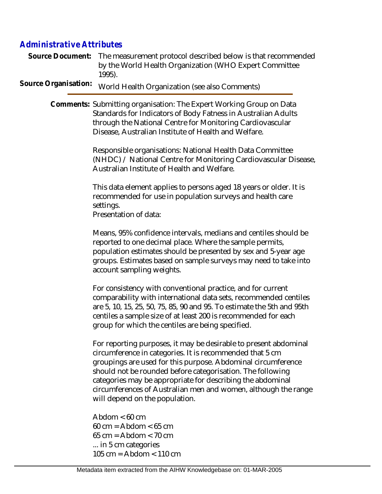### *Administrative Attributes*

Source Document: The measurement protocol described below is that recommended by the World Health Organization (WHO Expert Committee 1995).

Source Organisation: World Health Organization (see also Comments)

Comments: Submitting organisation: The Expert Working Group on Data Standards for Indicators of Body Fatness in Australian Adults through the National Centre for Monitoring Cardiovascular Disease, Australian Institute of Health and Welfare.

> Responsible organisations: National Health Data Committee (NHDC) / National Centre for Monitoring Cardiovascular Disease, Australian Institute of Health and Welfare.

This data element applies to persons aged 18 years or older. It is recommended for use in population surveys and health care settings.

Presentation of data:

Means, 95% confidence intervals, medians and centiles should be reported to one decimal place. Where the sample permits, population estimates should be presented by sex and 5-year age groups. Estimates based on sample surveys may need to take into account sampling weights.

For consistency with conventional practice, and for current comparability with international data sets, recommended centiles are 5, 10, 15, 25, 50, 75, 85, 90 and 95. To estimate the 5th and 95th centiles a sample size of at least 200 is recommended for each group for which the centiles are being specified.

For reporting purposes, it may be desirable to present abdominal circumference in categories. It is recommended that 5 cm groupings are used for this purpose. Abdominal circumference should not be rounded before categorisation. The following categories may be appropriate for describing the abdominal circumferences of Australian men and women, although the range will depend on the population.

Abdom  $< 60$  cm  $60 \text{ cm} = \text{Abdom} < 65 \text{ cm}$  $65 \text{ cm} = \text{Abdom} < 70 \text{ cm}$ ... in 5 cm categories 105 cm = Abdom < 110 cm